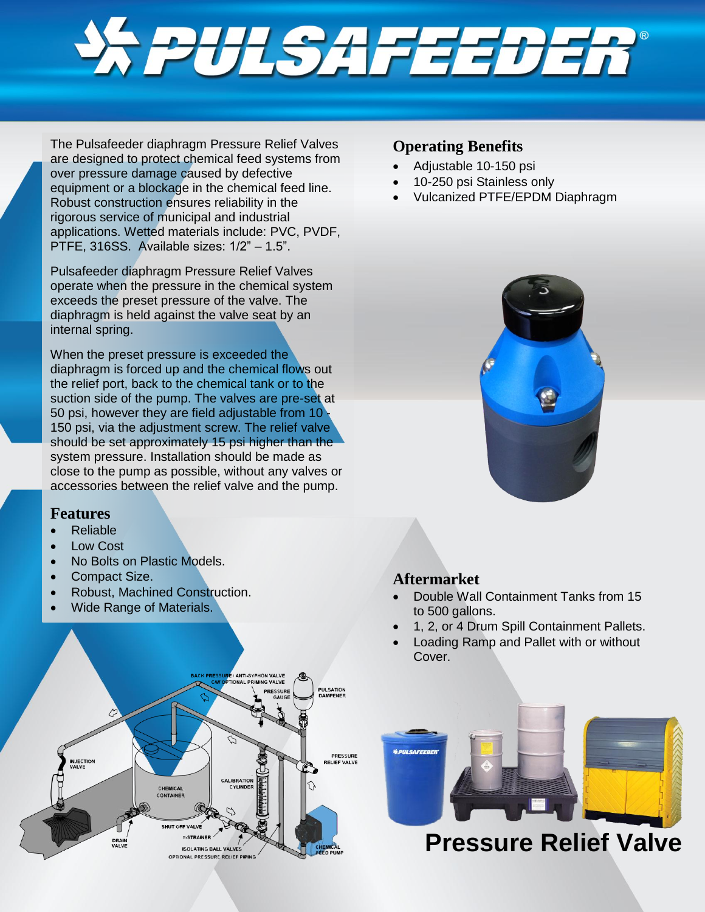

The Pulsafeeder diaphragm Pressure Relief Valves are designed to protect chemical feed systems from over pressure damage caused by defective equipment or a blockage in the chemical feed line. Robust construction ensures reliability in the rigorous service of municipal and industrial applications. Wetted materials include: PVC, PVDF, PTFE, 316SS. Available sizes: 1/2" – 1.5".

Pulsafeeder diaphragm Pressure Relief Valves operate when the pressure in the chemical system exceeds the preset pressure of the valve. The diaphragm is held against the valve seat by an internal spring.

When the preset pressure is exceeded the diaphragm is forced up and the chemical flows out the relief port, back to the chemical tank or to the suction side of the pump. The valves are pre-set at 50 psi, however they are field adjustable from 10 - 150 psi, via the adjustment screw. The relief valve should be set approximately 15 psi higher than the system pressure. Installation should be made as close to the pump as possible, without any valves or accessories between the relief valve and the pump.

### **Features**

- Reliable
- Low Cost
- No Bolts on Plastic Models.
- Compact Size.
- Robust, Machined Construction.
- Wide Range of Materials.



### **Operating Benefits**

- Adjustable 10-150 psi
- 10-250 psi Stainless only
- Vulcanized PTFE/EPDM Diaphragm



### **Aftermarket**

- Double Wall Containment Tanks from 15 to 500 gallons.
- 1, 2, or 4 Drum Spill Containment Pallets.
- Loading Ramp and Pallet with or without Cover.